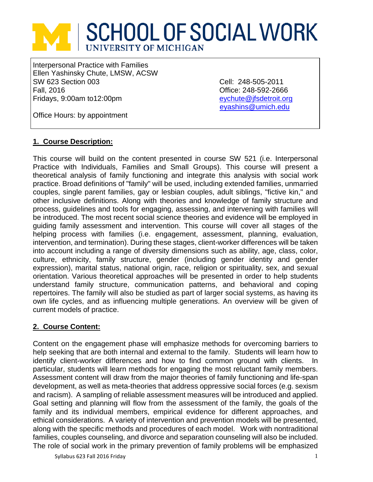# **SCHOOL OF SOCIAL WORK** UNIVERSITY OF MICHIGAN

Interpersonal Practice with Families Ellen Yashinsky Chute, LMSW, ACSW SW 623 Section 003 Cell: 248-505-2011 Fall, 2016 Office: 248-592-2666 Fridays, 9:00am to12:00pm eychute@ifsdetroit.org

[eyashins@umich.edu](mailto:eyashins@umich.edu)

Office Hours: by appointment

# **1. Course Description:**

This course will build on the content presented in course SW 521 (i.e. Interpersonal Practice with Individuals, Families and Small Groups). This course will present a theoretical analysis of family functioning and integrate this analysis with social work practice. Broad definitions of "family" will be used, including extended families, unmarried couples, single parent families, gay or lesbian couples, adult siblings, "fictive kin," and other inclusive definitions. Along with theories and knowledge of family structure and process, guidelines and tools for engaging, assessing, and intervening with families will be introduced. The most recent social science theories and evidence will be employed in guiding family assessment and intervention. This course will cover all stages of the helping process with families (i.e. engagement, assessment, planning, evaluation, intervention, and termination). During these stages, client-worker differences will be taken into account including a range of diversity dimensions such as ability, age, class, color, culture, ethnicity, family structure, gender (including gender identity and gender expression), marital status, national origin, race, religion or spirituality, sex, and sexual orientation. Various theoretical approaches will be presented in order to help students understand family structure, communication patterns, and behavioral and coping repertoires. The family will also be studied as part of larger social systems, as having its own life cycles, and as influencing multiple generations. An overview will be given of current models of practice.

# **2. Course Content:**

Content on the engagement phase will emphasize methods for overcoming barriers to help seeking that are both internal and external to the family. Students will learn how to identify client-worker differences and how to find common ground with clients. In particular, students will learn methods for engaging the most reluctant family members. Assessment content will draw from the major theories of family functioning and life-span development, as well as meta-theories that address oppressive social forces (e.g. sexism and racism). A sampling of reliable assessment measures will be introduced and applied. Goal setting and planning will flow from the assessment of the family, the goals of the family and its individual members, empirical evidence for different approaches, and ethical considerations. A variety of intervention and prevention models will be presented, along with the specific methods and procedures of each model. Work with nontraditional families, couples counseling, and divorce and separation counseling will also be included. The role of social work in the primary prevention of family problems will be emphasized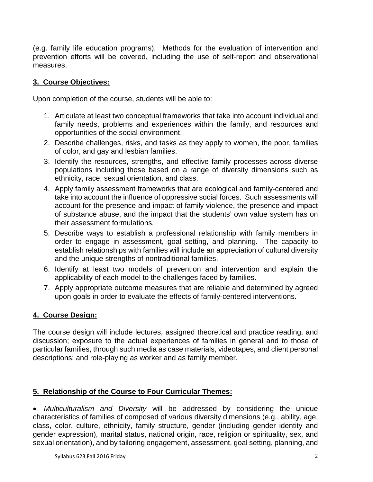(e.g. family life education programs). Methods for the evaluation of intervention and prevention efforts will be covered, including the use of self-report and observational measures.

# **3. Course Objectives:**

Upon completion of the course, students will be able to:

- 1. Articulate at least two conceptual frameworks that take into account individual and family needs, problems and experiences within the family, and resources and opportunities of the social environment.
- 2. Describe challenges, risks, and tasks as they apply to women, the poor, families of color, and gay and lesbian families.
- 3. Identify the resources, strengths, and effective family processes across diverse populations including those based on a range of diversity dimensions such as ethnicity, race, sexual orientation, and class.
- 4. Apply family assessment frameworks that are ecological and family-centered and take into account the influence of oppressive social forces. Such assessments will account for the presence and impact of family violence, the presence and impact of substance abuse, and the impact that the students' own value system has on their assessment formulations.
- 5. Describe ways to establish a professional relationship with family members in order to engage in assessment, goal setting, and planning. The capacity to establish relationships with families will include an appreciation of cultural diversity and the unique strengths of nontraditional families.
- 6. Identify at least two models of prevention and intervention and explain the applicability of each model to the challenges faced by families.
- 7. Apply appropriate outcome measures that are reliable and determined by agreed upon goals in order to evaluate the effects of family-centered interventions.

# **4. Course Design:**

The course design will include lectures, assigned theoretical and practice reading, and discussion; exposure to the actual experiences of families in general and to those of particular families, through such media as case materials, videotapes, and client personal descriptions; and role-playing as worker and as family member.

# **5. Relationship of the Course to Four Curricular Themes:**

• *Multiculturalism and Diversity* will be addressed by considering the unique characteristics of families of composed of various diversity dimensions (e.g., ability, age, class, color, culture, ethnicity, family structure, gender (including gender identity and gender expression), marital status, national origin, race, religion or spirituality, sex, and sexual orientation), and by tailoring engagement, assessment, goal setting, planning, and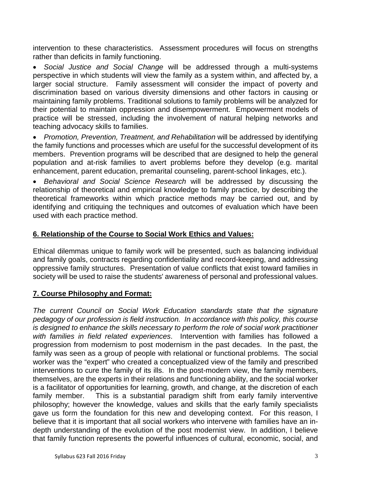intervention to these characteristics. Assessment procedures will focus on strengths rather than deficits in family functioning.

• *Social Justice and Social Change* will be addressed through a multi-systems perspective in which students will view the family as a system within, and affected by, a larger social structure. Family assessment will consider the impact of poverty and discrimination based on various diversity dimensions and other factors in causing or maintaining family problems. Traditional solutions to family problems will be analyzed for their potential to maintain oppression and disempowerment. Empowerment models of practice will be stressed, including the involvement of natural helping networks and teaching advocacy skills to families.

• *Promotion, Prevention, Treatment, and Rehabilitation* will be addressed by identifying the family functions and processes which are useful for the successful development of its members. Prevention programs will be described that are designed to help the general population and at-risk families to avert problems before they develop (e.g. marital enhancement, parent education, premarital counseling, parent-school linkages, etc.).

• *Behavioral and Social Science Research* will be addressed by discussing the relationship of theoretical and empirical knowledge to family practice, by describing the theoretical frameworks within which practice methods may be carried out, and by identifying and critiquing the techniques and outcomes of evaluation which have been used with each practice method.

# **6. Relationship of the Course to Social Work Ethics and Values:**

Ethical dilemmas unique to family work will be presented, such as balancing individual and family goals, contracts regarding confidentiality and record-keeping, and addressing oppressive family structures. Presentation of value conflicts that exist toward families in society will be used to raise the students' awareness of personal and professional values.

# **7. Course Philosophy and Format:**

*The current Council on Social Work Education standards state that the signature pedagogy of our profession is field instruction. In accordance with this policy, this course is designed to enhance the skills necessary to perform the role of social work practitioner with families in field related experiences*. Intervention with families has followed a progression from modernism to post modernism in the past decades. In the past, the family was seen as a group of people with relational or functional problems. The social worker was the "expert" who created a conceptualized view of the family and prescribed interventions to cure the family of its ills. In the post-modern view, the family members, themselves, are the experts in their relations and functioning ability, and the social worker is a facilitator of opportunities for learning, growth, and change, at the discretion of each family member. This is a substantial paradigm shift from early family interventive philosophy; however the knowledge, values and skills that the early family specialists gave us form the foundation for this new and developing context. For this reason, I believe that it is important that all social workers who intervene with families have an indepth understanding of the evolution of the post modernist view. In addition, I believe that family function represents the powerful influences of cultural, economic, social, and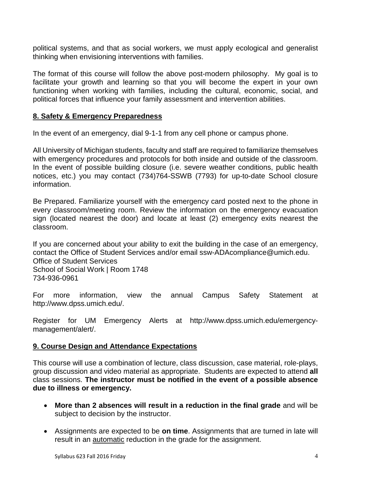political systems, and that as social workers, we must apply ecological and generalist thinking when envisioning interventions with families.

The format of this course will follow the above post-modern philosophy. My goal is to facilitate your growth and learning so that you will become the expert in your own functioning when working with families, including the cultural, economic, social, and political forces that influence your family assessment and intervention abilities.

## **8. Safety & Emergency Preparedness**

In the event of an emergency, dial 9-1-1 from any cell phone or campus phone.

All University of Michigan students, faculty and staff are required to familiarize themselves with emergency procedures and protocols for both inside and outside of the classroom. In the event of possible building closure (i.e. severe weather conditions, public health notices, etc.) you may contact (734)764-SSWB (7793) for up-to-date School closure information.

Be Prepared. Familiarize yourself with the emergency card posted next to the phone in every classroom/meeting room. Review the information on the emergency evacuation sign (located nearest the door) and locate at least (2) emergency exits nearest the classroom.

If you are concerned about your ability to exit the building in the case of an emergency, contact the Office of Student Services and/or email ssw-ADAcompliance@umich.edu. Office of Student Services School of Social Work | Room 1748 734-936-0961

For more information, view the annual Campus Safety Statement at http://www.dpss.umich.edu/.

Register for UM Emergency Alerts at http://www.dpss.umich.edu/emergencymanagement/alert/.

## **9. Course Design and Attendance Expectations**

This course will use a combination of lecture, class discussion, case material, role-plays, group discussion and video material as appropriate. Students are expected to attend **all** class sessions. **The instructor must be notified in the event of a possible absence due to illness or emergency.** 

- **More than 2 absences will result in a reduction in the final grade** and will be subject to decision by the instructor.
- Assignments are expected to be **on time**. Assignments that are turned in late will result in an automatic reduction in the grade for the assignment.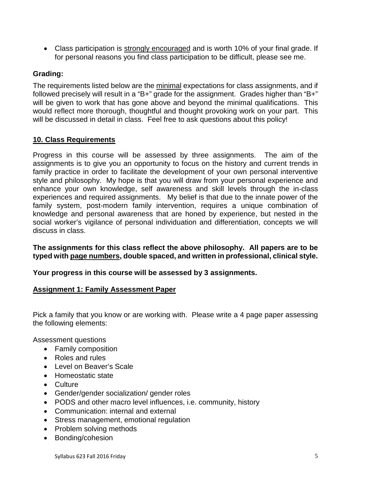• Class participation is strongly encouraged and is worth 10% of your final grade. If for personal reasons you find class participation to be difficult, please see me.

# **Grading:**

The requirements listed below are the minimal expectations for class assignments, and if followed precisely will result in a "B+" grade for the assignment. Grades higher than "B+" will be given to work that has gone above and beyond the minimal qualifications. This would reflect more thorough, thoughtful and thought provoking work on your part. This will be discussed in detail in class. Feel free to ask questions about this policy!

# **10. Class Requirements**

Progress in this course will be assessed by three assignments. The aim of the assignments is to give you an opportunity to focus on the history and current trends in family practice in order to facilitate the development of your own personal interventive style and philosophy. My hope is that you will draw from your personal experience and enhance your own knowledge, self awareness and skill levels through the in-class experiences and required assignments. My belief is that due to the innate power of the family system, post-modern family intervention, requires a unique combination of knowledge and personal awareness that are honed by experience, but nested in the social worker's vigilance of personal individuation and differentiation, concepts we will discuss in class.

**The assignments for this class reflect the above philosophy. All papers are to be typed with page numbers, double spaced, and written in professional, clinical style.**

# **Your progress in this course will be assessed by 3 assignments.**

## **Assignment 1: Family Assessment Paper**

Pick a family that you know or are working with. Please write a 4 page paper assessing the following elements:

Assessment questions

- Family composition
- Roles and rules
- Level on Beaver's Scale
- Homeostatic state
- Culture
- Gender/gender socialization/ gender roles
- PODS and other macro level influences, i.e. community, history
- Communication: internal and external
- Stress management, emotional regulation
- Problem solving methods
- Bonding/cohesion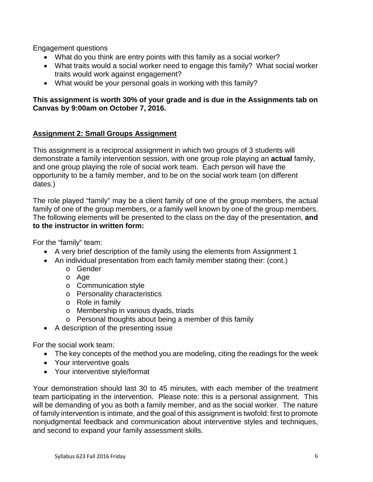Engagement questions

- What do you think are entry points with this family as a social worker?
- What traits would a social worker need to engage this family? What social worker traits would work against engagement?
- What would be your personal goals in working with this family?

# **This assignment is worth 30% of your grade and is due in the Assignments tab on Canvas by 9:00am on October 7, 2016.**

## **Assignment 2: Small Groups Assignment**

This assignment is a reciprocal assignment in which two groups of 3 students will demonstrate a family intervention session, with one group role playing an **actual** family, and one group playing the role of social work team. Each person will have the opportunity to be a family member, and to be on the social work team (on different dates.)

The role played "family" may be a client family of one of the group members, the actual family of one of the group members, or a family well known by one of the group members. The following elements will be presented to the class on the day of the presentation, **and to the instructor in written form:**

For the "family" team:

- A very brief description of the family using the elements from Assignment 1
- An individual presentation from each family member stating their: (cont.)
	- o Gender
	- o Age
	- o Communication style
	- o Personality characteristics
	- o Role in family
	- o Membership in various dyads, triads
	- o Personal thoughts about being a member of this family
- A description of the presenting issue

For the social work team:

- The key concepts of the method you are modeling, citing the readings for the week
- Your interventive goals
- Your interventive style/format

Your demonstration should last 30 to 45 minutes, with each member of the treatment team participating in the intervention. Please note: this is a personal assignment. This will be demanding of you as both a family member, and as the social worker. The nature of family intervention is intimate, and the goal of this assignment is twofold: first to promote nonjudgmental feedback and communication about interventive styles and techniques, and second to expand your family assessment skills.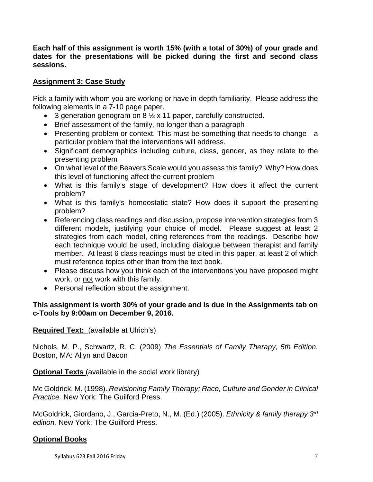**Each half of this assignment is worth 15% (with a total of 30%) of your grade and dates for the presentations will be picked during the first and second class sessions.** 

# **Assignment 3: Case Study**

Pick a family with whom you are working or have in-depth familiarity. Please address the following elements in a 7-10 page paper.

- 3 generation genogram on 8 ½ x 11 paper, carefully constructed.
- Brief assessment of the family, no longer than a paragraph
- Presenting problem or context. This must be something that needs to change—a particular problem that the interventions will address.
- Significant demographics including culture, class, gender, as they relate to the presenting problem
- On what level of the Beavers Scale would you assess this family? Why? How does this level of functioning affect the current problem
- What is this family's stage of development? How does it affect the current problem?
- What is this family's homeostatic state? How does it support the presenting problem?
- Referencing class readings and discussion, propose intervention strategies from 3 different models, justifying your choice of model. Please suggest at least 2 strategies from each model, citing references from the readings. Describe how each technique would be used, including dialogue between therapist and family member. At least 6 class readings must be cited in this paper, at least 2 of which must reference topics other than from the text book.
- Please discuss how you think each of the interventions you have proposed might work, or not work with this family.
- Personal reflection about the assignment.

# **This assignment is worth 30% of your grade and is due in the Assignments tab on c-Tools by 9:00am on December 9, 2016.**

**Required Text:** (available at Ulrich's)

Nichols, M. P., Schwartz, R. C. (2009) *The Essentials of Family Therapy, 5th Edition.*  Boston, MA: Allyn and Bacon

**Optional Texts** (available in the social work library)

Mc Goldrick, M. (1998). *Revisioning Family Therapy; Race, Culture and Gender in Clinical Practice.* New York: The Guilford Press.

McGoldrick, Giordano, J., Garcia-Preto, N., M. (Ed.) (2005). *Ethnicity & family therapy 3rd edition.* New York: The Guilford Press.

# **Optional Books**

Syllabus 623 Fall 2016 Friday 7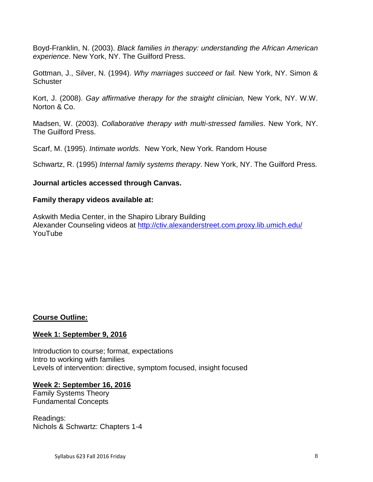Boyd-Franklin, N. (2003). *Black families in therapy: understanding the African American experience*. New York, NY. The Guilford Press.

Gottman, J., Silver, N. (1994). *Why marriages succeed or fail.* New York, NY. Simon & **Schuster** 

Kort, J. (2008). *Gay affirmative therapy for the straight clinician,* New York, NY. W.W. Norton & Co.

Madsen, W. (2003). *Collaborative therapy with multi-stressed families*. New York, NY. The Guilford Press.

Scarf, M. (1995). *Intimate worlds.* New York, New York. Random House

Schwartz, R. (1995) *Internal family systems therapy*. New York, NY. The Guilford Press.

## **Journal articles accessed through Canvas.**

## **Family therapy videos available at:**

Askwith Media Center, in the Shapiro Library Building Alexander Counseling videos at<http://ctiv.alexanderstreet.com.proxy.lib.umich.edu/> YouTube

## **Course Outline:**

## **Week 1: September 9, 2016**

Introduction to course; format, expectations Intro to working with families Levels of intervention: directive, symptom focused, insight focused

## **Week 2: September 16, 2016**

Family Systems Theory Fundamental Concepts

Readings: Nichols & Schwartz: Chapters 1-4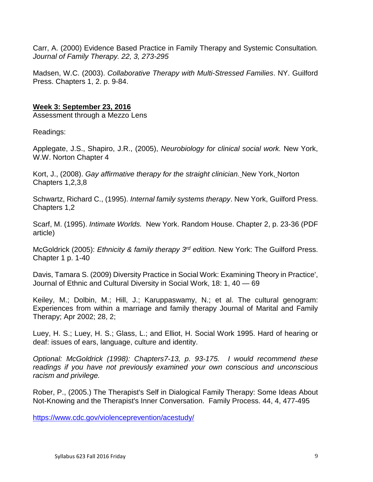Carr, A. (2000) Evidence Based Practice in Family Therapy and Systemic Consultation*. Journal of Family Therapy. 22, 3, 273-295*

Madsen, W.C. (2003). *Collaborative Therapy with Multi-Stressed Families*. NY. Guilford Press. Chapters 1, 2. p. 9-84.

# **Week 3: September 23, 2016**

Assessment through a Mezzo Lens

Readings:

Applegate, J.S., Shapiro, J.R., (2005), *Neurobiology for clinical social work.* New York, W.W. Norton Chapter 4

Kort, J., (2008). *Gay affirmative therapy for the straight clinician.* New York, Norton Chapters 1,2,3,8

Schwartz, Richard C., (1995). *Internal family systems therapy*. New York, Guilford Press. Chapters 1,2

Scarf, M. (1995). *Intimate Worlds.* New York. Random House. Chapter 2, p. 23-36 (PDF article)

McGoldrick (2005): *Ethnicity & family therapy 3rd edition.* New York: The Guilford Press. Chapter 1 p. 1-40

Davis, Tamara S. (2009) Diversity Practice in Social Work: Examining Theory in Practice', Journal of Ethnic and Cultural Diversity in Social Work, 18: 1, 40 — 69

Keiley, M.; Dolbin, M.; Hill, J.; Karuppaswamy, N.; et al. The cultural genogram: Experiences from within a marriage and family therapy Journal of Marital and Family Therapy; Apr 2002; 28, 2;

Luey, H. S.; Luey, H. S.; Glass, L.; and Elliot, H. Social Work 1995. Hard of hearing or deaf: issues of ears, language, culture and identity.

*Optional: McGoldrick (1998): Chapters7-13, p. 93-175. I would recommend these readings if you have not previously examined your own conscious and unconscious racism and privilege.* 

Rober, P., (2005.) The Therapist's Self in Dialogical Family Therapy: Some Ideas About Not-Knowing and the Therapist's Inner Conversation. Family Process. 44, 4, 477-495

<https://www.cdc.gov/violenceprevention/acestudy/>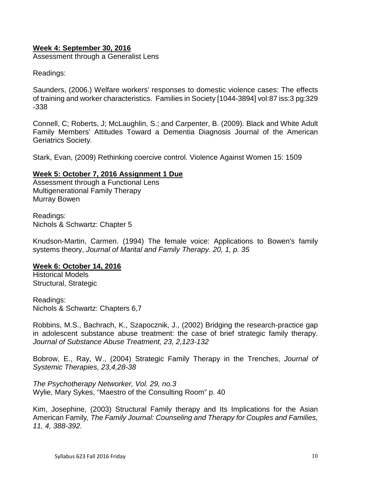## **Week 4: September 30, 2016**

Assessment through a Generalist Lens

Readings:

Saunders, (2006.) Welfare workers' responses to domestic violence cases: The effects of training and worker characteristics. Families in Society [1044-3894] vol:87 iss:3 pg:329 -338

Connell, C; Roberts, J; McLaughlin, S.; and Carpenter, B. (2009). [Black and White Adult](http://proxy.lib.umich.edu/login?url=http://sfx.lib.umich.edu:9003/sfx_local?url_ver=Z39.88-2004&url_ctx_fmt=info%3Aofi%2Ffmt%3Akev%3Amtx%3Actx&rft_val_fmt=info%3Aofi%2Ffmt%3Akev%3Amtx%3Ajournal&rft.genre=article&rft.aulast=Connell&rft.aufirst=Cathleen+M&rft.au=J+Scott+Roberts&rft.au=Sara+J+McLaughlin&rft.au=Brian+D+Carpenter&rft.atitle=Black+and+White+Adult+Family+Members%27+Attitudes+Toward+a+Dementia+Diagnosis&rft.jtitle=Journal+of+the+American+Geriatrics+Society&rft.date=2009)  [Family Members' Attitudes Toward a Dementia Diagnosis](http://proxy.lib.umich.edu/login?url=http://sfx.lib.umich.edu:9003/sfx_local?url_ver=Z39.88-2004&url_ctx_fmt=info%3Aofi%2Ffmt%3Akev%3Amtx%3Actx&rft_val_fmt=info%3Aofi%2Ffmt%3Akev%3Amtx%3Ajournal&rft.genre=article&rft.aulast=Connell&rft.aufirst=Cathleen+M&rft.au=J+Scott+Roberts&rft.au=Sara+J+McLaughlin&rft.au=Brian+D+Carpenter&rft.atitle=Black+and+White+Adult+Family+Members%27+Attitudes+Toward+a+Dementia+Diagnosis&rft.jtitle=Journal+of+the+American+Geriatrics+Society&rft.date=2009) Journal of the American Geriatrics Society.

Stark, Evan, (2009) Rethinking coercive control. Violence Against Women 15: 1509

#### **Week 5: October 7, 2016 Assignment 1 Due**

Assessment through a Functional Lens Multigenerational Family Therapy Murray Bowen

Readings: Nichols & Schwartz: Chapter 5

Knudson-Martin, Carmen. (1994) The female voice: Applications to Bowen's family systems theory, *Journal of Marital and Family Therapy. 20, 1, p. 35* 

#### **Week 6: October 14, 2016**

Historical Models Structural, Strategic

Readings: Nichols & Schwartz: Chapters 6,7

Robbins, M.S., Bachrach, K., Szapocznik, J., (2002) Bridging the research-practice gap in adolescent substance abuse treatment: the case of brief strategic family therapy. *Journal of Substance Abuse Treatment, 23, 2,123-132*

Bobrow, E., Ray, W., (2004) Strategic Family Therapy in the Trenches, *Journal of Systemic Therapies, 23,4,28-38*

*The Psychotherapy Networker, Vol. 29, no.3* Wylie, Mary Sykes, "Maestro of the Consulting Room" p. 40

Kim, Josephine, (2003) Structural Family therapy and Its Implications for the Asian American Family*, The Family Journal: Counseling and Therapy for Couples and Families, 11, 4, 388-392.*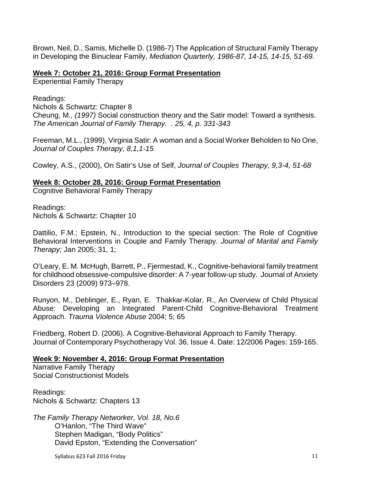Brown, Neil, D., Samis, Michelle D. (1986-7) The Application of Structural Family Therapy in Developing the Binuclear Family, *Mediation Quarterly, 1986-87, 14-15, 14-15, 51-69.*

## **Week 7: October 21, 2016: Group Format Presentation**

Experiential Family Therapy

Readings:

Nichols & Schwartz: Chapter 8 Cheung, M*., (1997)* Social construction theory and the Satir model: Toward a synthesis. *The American Journal of Family Therapy. . 25, 4, p. 331-343* 

Freeman, M.L., (1999), Virginia Satir: A woman and a Social Worker Beholden to No One, *Journal of Couples Therapy, 8,1,1-15*

Cowley, A.S., (2000), On Satir's Use of Self, *Journal of Couples Therapy, 9,3-4, 51-68*

## **Week 8: October 28, 2016: Group Format Presentation**

Cognitive Behavioral Family Therapy

Readings: Nichols & Schwartz: Chapter 10

Dattilio, F.M.; Epstein, N., Introduction to the special section: The Role of Cognitive Behavioral Interventions in Couple and Family Therapy. *Journal of Marital and Family Therapy;* Jan 2005; 31, 1;

O'Leary, E. M. McHugh, Barrett, P., Fjermestad, K., Cognitive-behavioral family treatment for childhood obsessive-compulsive disorder: A 7-year follow-up study. Journal of Anxiety Disorders 23 (2009) 973–978.

Runyon, M., Deblinger, E., Ryan, E. Thakkar-Kolar, R., An Overview of Child Physical Abuse: Developing an Integrated Parent-Child Cognitive-Behavioral Treatment Approach. *Trauma Violence Abuse* 2004; 5; 65

Friedberg, Robert D. (2006). A Cognitive-Behavioral Approach to Family Therapy. Journal of Contemporary Psychotherapy Vol. 36, Issue 4. Date: 12/2006 Pages: 159-165.

# **Week 9: November 4, 2016: Group Format Presentation**

Narrative Family Therapy Social Constructionist Models

Readings: Nichols & Schwartz: Chapters 13

*The Family Therapy Networker, Vol. 18, No.6* O'Hanlon, "The Third Wave" Stephen Madigan, "Body Politics" David Epston, "Extending the Conversation"

Syllabus 623 Fall 2016 Friday 11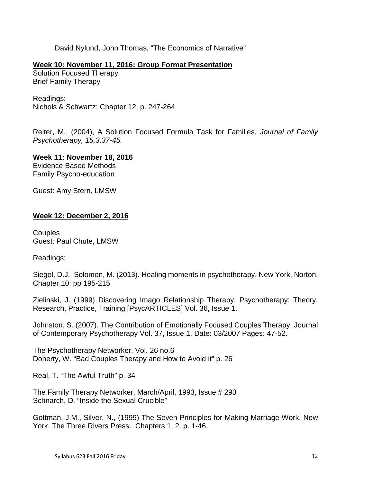David Nylund, John Thomas, "The Economics of Narrative"

## **Week 10: November 11, 2016: Group Format Presentation**

Solution Focused Therapy Brief Family Therapy

Readings: Nichols & Schwartz: Chapter 12, p. 247-264

Reiter, M., (2004), A Solution Focused Formula Task for Families, *Journal of Family Psychotherapy, 15,3,37-45.*

**Week 11: November 18, 2016**

Evidence Based Methods Family Psycho-education

Guest: Amy Stern, LMSW

## **Week 12: December 2, 2016**

**Couples** Guest: Paul Chute, LMSW

Readings:

Siegel, D.J., Solomon, M. (2013). Healing moments in psychotherapy. New York, Norton. Chapter 10: pp 195-215

Zielinski, J. (1999) Discovering Imago Relationship Therapy. Psychotherapy: Theory, Research, Practice, Training [PsycARTICLES] Vol. 36, Issue 1.

Johnston, S. (2007). The Contribution of Emotionally Focused Couples Therapy. Journal of Contemporary Psychotherapy Vol. 37, Issue 1. Date: 03/2007 Pages: 47-52.

The Psychotherapy Networker, Vol. 26 no.6 Doherty, W. "Bad Couples Therapy and How to Avoid it" p. 26

Real, T. "The Awful Truth" p. 34

The Family Therapy Networker, March/April, 1993, Issue # 293 Schnarch, D. "Inside the Sexual Crucible"

Gottman, J.M., Silver, N., (1999) The Seven Principles for Making Marriage Work, New York, The Three Rivers Press. Chapters 1, 2. p. 1-46.